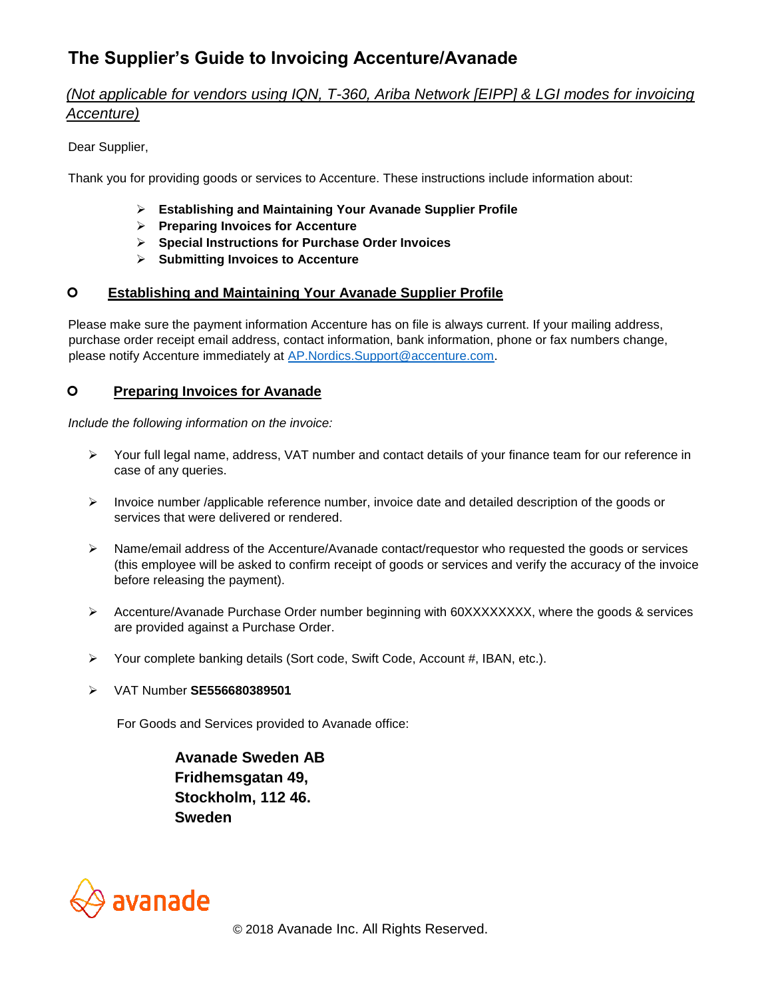# **The Supplier's Guide to Invoicing Accenture/Avanade**

# *(Not applicable for vendors using IQN, T-360, Ariba Network [EIPP] & LGI modes for invoicing Accenture)*

Dear Supplier,

Thank you for providing goods or services to Accenture. These instructions include information about:

- ➢ **Establishing and Maintaining Your Avanade Supplier Profile**
- ➢ **Preparing Invoices for Accenture**
- ➢ **Special Instructions for Purchase Order Invoices**
- ➢ **Submitting Invoices to Accenture**

## **Establishing and Maintaining Your Avanade Supplier Profile**

Please make sure the payment information Accenture has on file is always current. If your mailing address, purchase order receipt email address, contact information, bank information, phone or fax numbers change, please notify Accenture immediately at AP.Nordics.Support@accenture.com.

## **Preparing Invoices for Avanade**

*Include the following information on the invoice:* 

- ➢ Your full legal name, address, VAT number and contact details of your finance team for our reference in case of any queries.
- $\triangleright$  Invoice number /applicable reference number, invoice date and detailed description of the goods or services that were delivered or rendered.
- ➢ Name/email address of the Accenture/Avanade contact/requestor who requested the goods or services (this employee will be asked to confirm receipt of goods or services and verify the accuracy of the invoice before releasing the payment).
- ➢ Accenture/Avanade Purchase Order number beginning with 60XXXXXXXX, where the goods & services are provided against a Purchase Order.
- ➢ Your complete banking details (Sort code, Swift Code, Account #, IBAN, etc.).
- ➢ VAT Number **SE556680389501**

For Goods and Services provided to Avanade office:

 **Avanade Sweden AB Fridhemsgatan 49, Stockholm, 112 46. Sweden** 



© 2018 Avanade Inc. All Rights Reserved.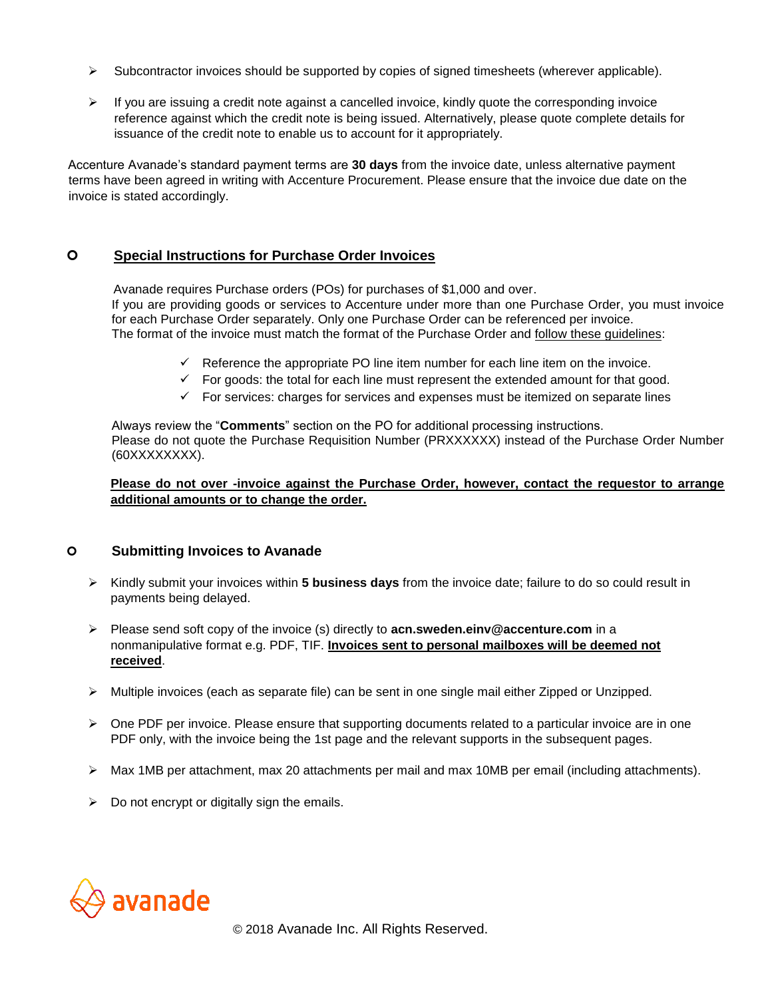- $\triangleright$  Subcontractor invoices should be supported by copies of signed timesheets (wherever applicable).
- $\triangleright$  If you are issuing a credit note against a cancelled invoice, kindly quote the corresponding invoice reference against which the credit note is being issued. Alternatively, please quote complete details for issuance of the credit note to enable us to account for it appropriately.

Accenture Avanade's standard payment terms are **30 days** from the invoice date, unless alternative payment terms have been agreed in writing with Accenture Procurement. Please ensure that the invoice due date on the invoice is stated accordingly.

#### **Special Instructions for Purchase Order Invoices**

 Avanade requires Purchase orders (POs) for purchases of \$1,000 and over. If you are providing goods or services to Accenture under more than one Purchase Order, you must invoice for each Purchase Order separately. Only one Purchase Order can be referenced per invoice. The format of the invoice must match the format of the Purchase Order and follow these guidelines:

- $\checkmark$  Reference the appropriate PO line item number for each line item on the invoice.
- $\checkmark$  For goods: the total for each line must represent the extended amount for that good.
- $\checkmark$  For services: charges for services and expenses must be itemized on separate lines

Always review the "**Comments**" section on the PO for additional processing instructions. Please do not quote the Purchase Requisition Number (PRXXXXXX) instead of the Purchase Order Number (60XXXXXXXX).

#### **Please do not over -invoice against the Purchase Order, however, contact the requestor to arrange additional amounts or to change the order.**

#### **Submitting Invoices to Avanade**

- ➢ Kindly submit your invoices within **5 business days** from the invoice date; failure to do so could result in payments being delayed.
- ➢ Please send soft copy of the invoice (s) directly to **acn.sweden.einv@accenture.com** in a nonmanipulative format e.g. PDF, TIF. **Invoices sent to personal mailboxes will be deemed not received**.
- ➢ Multiple invoices (each as separate file) can be sent in one single mail either Zipped or Unzipped.
- $\triangleright$  One PDF per invoice. Please ensure that supporting documents related to a particular invoice are in one PDF only, with the invoice being the 1st page and the relevant supports in the subsequent pages.
- ➢ Max 1MB per attachment, max 20 attachments per mail and max 10MB per email (including attachments).
- $\triangleright$  Do not encrypt or digitally sign the emails.